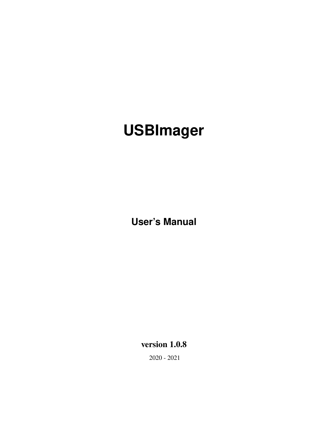**User's Manual**

**version 1.0.8**

2020 - 2021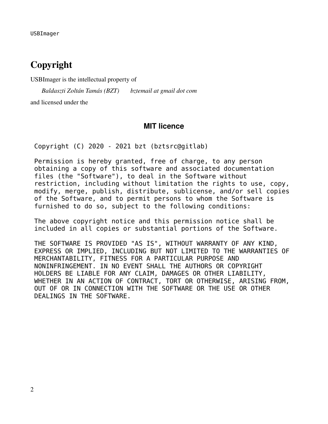### **Copyright**

USBImager is the intellectual property of

 *Baldaszti Zoltán Tamás (BZT) bztemail at gmail dot com*

and licensed under the

#### **MIT licence**

Copyright (C) 2020 - 2021 bzt (bztsrc@gitlab)

 Permission is hereby granted, free of charge, to any person obtaining a copy of this software and associated documentation files (the "Software"), to deal in the Software without restriction, including without limitation the rights to use, copy, modify, merge, publish, distribute, sublicense, and/or sell copies of the Software, and to permit persons to whom the Software is furnished to do so, subject to the following conditions:

 The above copyright notice and this permission notice shall be included in all copies or substantial portions of the Software.

 THE SOFTWARE IS PROVIDED "AS IS", WITHOUT WARRANTY OF ANY KIND, EXPRESS OR IMPLIED, INCLUDING BUT NOT LIMITED TO THE WARRANTIES OF MERCHANTABILITY, FITNESS FOR A PARTICULAR PURPOSE AND NONINFRINGEMENT. IN NO EVENT SHALL THE AUTHORS OR COPYRIGHT HOLDERS BE LIABLE FOR ANY CLAIM, DAMAGES OR OTHER LIABILITY, WHETHER IN AN ACTION OF CONTRACT, TORT OR OTHERWISE, ARISING FROM, OUT OF OR IN CONNECTION WITH THE SOFTWARE OR THE USE OR OTHER DEALINGS IN THE SOFTWARE.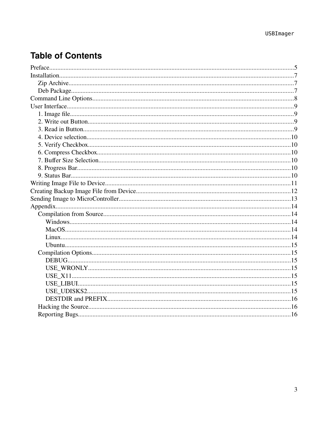# **Table of Contents**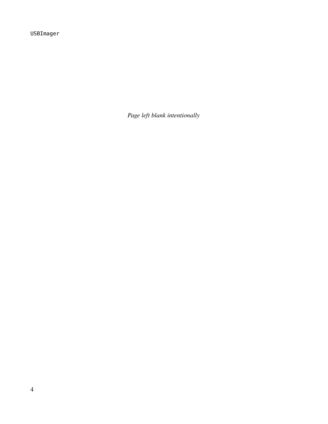*Page left blank intentionally*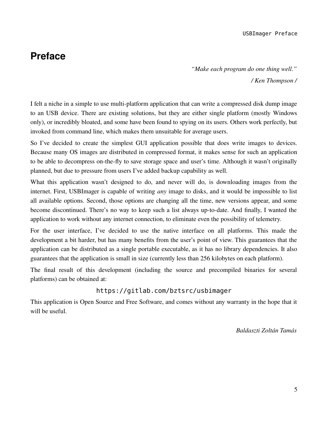### <span id="page-4-0"></span>**Preface**

*"Make each program do one thing well." / Ken Thompson /*

I felt a niche in a simple to use multi-platform application that can write a compressed disk dump image to an USB device. There are existing solutions, but they are either single platform (mostly Windows only), or incredibly bloated, and some have been found to spying on its users. Others work perfectly, but invoked from command line, which makes them unsuitable for average users.

So I've decided to create the simplest GUI application possible that does write images to devices. Because many OS images are distributed in compressed format, it makes sense for such an application to be able to decompress on-the-fly to save storage space and user's time. Although it wasn't originally planned, but due to pressure from users I've added backup capability as well.

What this application wasn't designed to do, and never will do, is downloading images from the internet. First, USBImager is capable of writing *any* image to disks, and it would be impossible to list all available options. Second, those options are changing all the time, new versions appear, and some become discontinued. There's no way to keep such a list always up-to-date. And finally, I wanted the application to work without any internet connection, to eliminate even the possibility of telemetry.

For the user interface, I've decided to use the native interface on all platforms. This made the development a bit harder, but has many benefits from the user's point of view. This guarantees that the application can be distributed as a single portable executable, as it has no library dependencies. It also guarantees that the application is small in size (currently less than 256 kilobytes on each platform).

The final result of this development (including the source and precompiled binaries for several platforms) can be obtained at:

#### <https://gitlab.com/bztsrc/usbimager>

This application is Open Source and Free Software, and comes without any warranty in the hope that it will be useful.

*Baldaszti Zoltán Tamás*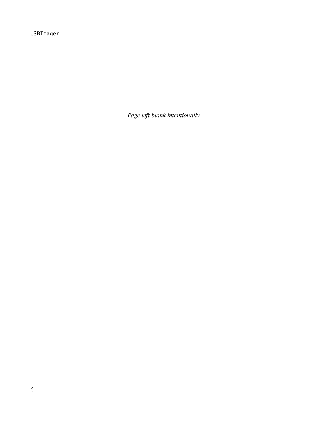*Page left blank intentionally*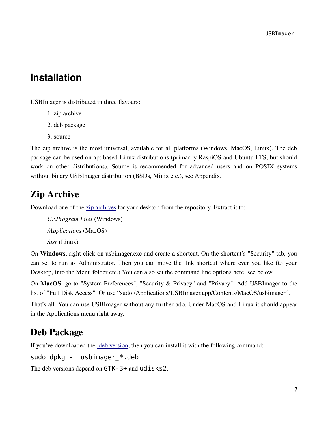# <span id="page-6-2"></span>**Installation**

USBImager is distributed in three flavours:

- 1. zip archive
- 2. deb package
- 3. source

The zip archive is the most universal, available for all platforms (Windows, MacOS, Linux). The deb package can be used on apt based Linux distributions (primarily RaspiOS and Ubuntu LTS, but should work on other distributions). Source is recommended for advanced users and on POSIX systems without binary USBImager distribution (BSDs, Minix etc.), see Appendix.

# <span id="page-6-1"></span>**Zip Archive**

Download one of the [zip archives](https://gitlab.com/bztsrc/usbimager/-/releases) for your desktop from the repository. Extract it to:

*C:\Program Files* (Windows) */Applications* (MacOS) */usr* (Linux)

On **Windows**, right-click on usbimager.exe and create a shortcut. On the shortcut's "Security" tab, you can set to run as Administrator. Then you can move the .lnk shortcut where ever you like (to your Desktop, into the Menu folder etc.) You can also set the command line options here, see below.

On **MacOS**: go to "System Preferences", "Security & Privacy" and "Privacy". Add USBImager to the list of "Full Disk Access". Or use "sudo /Applications/USBImager.app/Contents/MacOS/usbimager".

That's all. You can use USBImager without any further ado. Under MacOS and Linux it should appear in the Applications menu right away.

#### <span id="page-6-0"></span>**Deb Package**

If you've downloaded the [.deb version](https://gitlab.com/bztsrc/usbimager/-/releases), then you can install it with the following command:

```
sudo dpkg -i usbimager_*.deb
```
The deb versions depend on GTK-3+ and udisks2.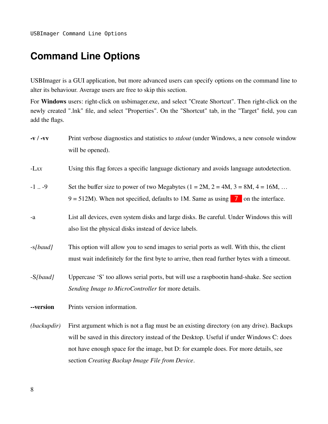USBImager Command Line Options

### <span id="page-7-0"></span>**Command Line Options**

USBImager is a GUI application, but more advanced users can specify options on the command line to alter its behaviour. Average users are free to skip this section.

For **Windows** users: right-click on usbimager.exe, and select "Create Shortcut". Then right-click on the newly created ".lnk" file, and select "Properties". On the "Shortcut" tab, in the "Target" field, you can add the flags.

| $-V / -VV$  | Print verbose diagnostics and statistics to <i>stdout</i> (under Windows, a new console window<br>will be opened).                                                                       |
|-------------|------------------------------------------------------------------------------------------------------------------------------------------------------------------------------------------|
| $-Lxx$      | Using this flag forces a specific language dictionary and avoids language autodetection.                                                                                                 |
| $-1. -9$    | Set the buffer size to power of two Megabytes $(1 = 2M, 2 = 4M, 3 = 8M, 4 = 16M, $<br>$9 = 512M$ ). When not specified, defaults to 1M. Same as using 7 on the interface.                |
| -a          | List all devices, even system disks and large disks. Be careful. Under Windows this will<br>also list the physical disks instead of device labels.                                       |
| $-s$ [baud] | This option will allow you to send images to serial ports as well. With this, the client<br>must wait indefinitely for the first byte to arrive, then read further bytes with a timeout. |
| $-S$ [baud] | Uppercase 'S' too allows serial ports, but will use a raspbootin hand-shake. See section<br>Sending Image to MicroController for more details.                                           |
| --version   | Prints version information.                                                                                                                                                              |
| (backupdir) | First argument which is not a flag must be an existing directory (on any drive). Backups                                                                                                 |

will be saved in this directory instead of the Desktop. Useful if under Windows C: does not have enough space for the image, but D: for example does. For more details, see section *Creating Backup Image File from Device*.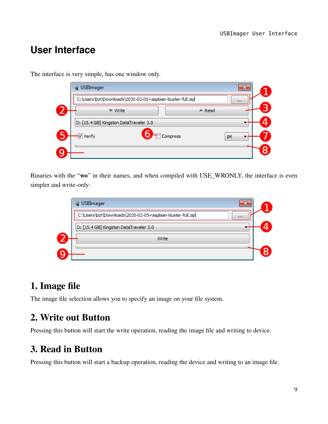# <span id="page-8-3"></span>**User Interface**

|   | <b>USBImager</b>                                                   |   |
|---|--------------------------------------------------------------------|---|
|   | C:\Users\bzt\Downloads\2020-02-05-raspbian-buster-full.zip<br>1.11 |   |
|   | $\triangle$ Read<br>$\blacktriangledown$ Write                     | ⋾ |
|   | D: [15.4 GiB] Kingston DataTraveler 3.0                            | 4 |
|   | Compress<br>$\overline{\mathsf{v}}$ Verify<br><b>1M</b>            |   |
| O |                                                                    | Ջ |

The interface is very simple, has one window only.

Binaries with the "**wo**" in their names, and when compiled with USE\_WRONLY, the interface is even simpler and write-only:

| <b>USBImager</b>                                                    |  |
|---------------------------------------------------------------------|--|
| C:\Users\bzt\Downloads\2020-02-05-raspbian-buster-full.zip<br>1.1.1 |  |
| D: [15.4 GiB] Kingston DataTraveler 3.0                             |  |
| Write                                                               |  |
|                                                                     |  |

### <span id="page-8-2"></span>**1. Image file**

The image file selection allows you to specify an image on your file system.

#### <span id="page-8-1"></span>**2. Write out Button**

Pressing this button will start the write operation, reading the image file and writing to device.

### <span id="page-8-0"></span>**3. Read in Button**

Pressing this button will start a backup operation, reading the device and writing to an image file.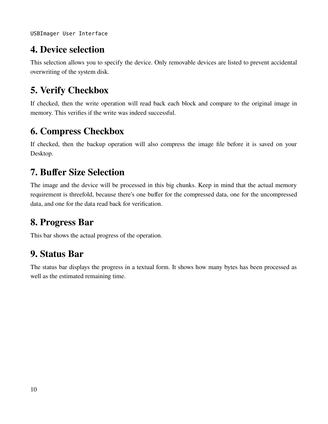USBImager User Interface

### <span id="page-9-5"></span>**4. Device selection**

This selection allows you to specify the device. Only removable devices are listed to prevent accidental overwriting of the system disk.

# <span id="page-9-4"></span>**5. Verify Checkbox**

If checked, then the write operation will read back each block and compare to the original image in memory. This verifies if the write was indeed successful.

# <span id="page-9-3"></span>**6. Compress Checkbox**

If checked, then the backup operation will also compress the image file before it is saved on your Desktop.

### <span id="page-9-2"></span>**7. Buffer Size Selection**

The image and the device will be processed in this big chunks. Keep in mind that the actual memory requirement is threefold, because there's one buffer for the compressed data, one for the uncompressed data, and one for the data read back for verification.

# <span id="page-9-1"></span>**8. Progress Bar**

This bar shows the actual progress of the operation.

### <span id="page-9-0"></span>**9. Status Bar**

The status bar displays the progress in a textual form. It shows how many bytes has been processed as well as the estimated remaining time.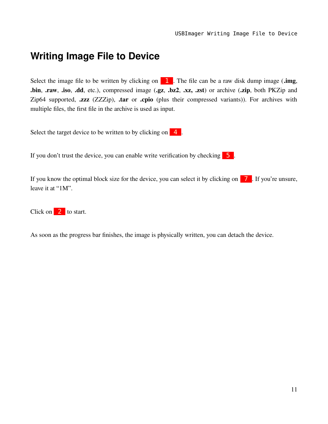### <span id="page-10-0"></span>**Writing Image File to Device**

Select the image file to be written by clicking on  $\begin{bmatrix} 1 \\ 1 \end{bmatrix}$ . The file can be a raw disk dump image (*.img*, **.bin**, **.raw**, **.iso**, **.dd**, etc.), compressed image (**.gz**, **.bz2**, **.xz, .zst**) or archive (**.zip**, both PKZip and Zip64 supported, **.zzz** (ZZZip), **.tar** or **.cpio** (plus their compressed variants)). For archives with multiple files, the first file in the archive is used as input.

Select the target device to be written to by clicking on  $\begin{bmatrix} 4 \end{bmatrix}$ .

If you don't trust the device, you can enable write verification by checking  $\begin{bmatrix} 5 \end{bmatrix}$ .

If you know the optimal block size for the device, you can select it by clicking on  $\boxed{7}$ . If you're unsure, leave it at "1M".

Click on  $\boxed{2}$  to start.

As soon as the progress bar finishes, the image is physically written, you can detach the device.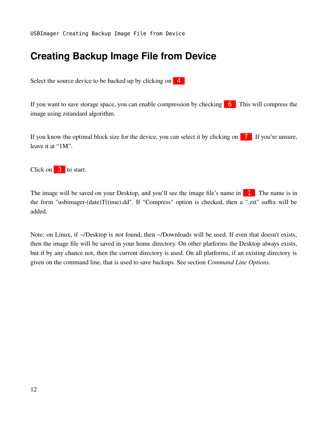USBImager Creating Backup Image File from Device

### <span id="page-11-0"></span>**Creating Backup Image File from Device**

Select the source device to be backed up by clicking on  $\begin{bmatrix} 4 \end{bmatrix}$ .

If you want to save storage space, you can enable compression by checking  $\overline{6}$ . This will compress the image using zstandard algorithm.

If you know the optimal block size for the device, you can select it by clicking on  $\boxed{7}$ . If you're unsure, leave it at "1M".

Click on  $\overline{3}$  to start.

The image will be saved on your Desktop, and you'll see the image file's name in  $\boxed{1}$ . The name is in the form "usbimager-(date)T(time).dd". If "Compress" option is checked, then a ".zst" suffix will be added.

Note: on Linux, if ~/Desktop is not found, then ~/Downloads will be used. If even that doesn't exists, then the image file will be saved in your home directory. On other platforms the Desktop always exists, but if by any chance not, then the current directory is used. On all platforms, if an existing directory is given on the command line, that is used to save backups. See section *Command Line Options*.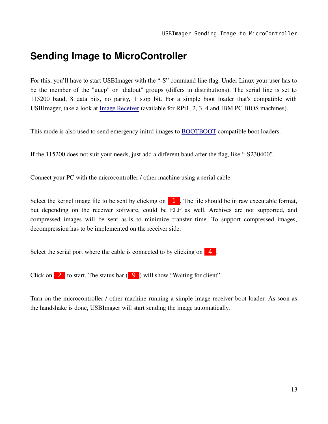# <span id="page-12-0"></span>**Sending Image to MicroController**

For this, you'll have to start USBImager with the "-S" command line flag. Under Linux your user has to be the member of the "uucp" or "dialout" groups (differs in distributions). The serial line is set to 115200 baud, 8 data bits, no parity, 1 stop bit. For a simple boot loader that's compatible with USBImager, take a look at [Image Receiver](https://gitlab.com/bztsrc/imgrecv) (available for RPi1, 2, 3, 4 and IBM PC BIOS machines).

This mode is also used to send emergency initrd images to [BOOTBOOT](https://gitlab.com/bztsrc/bootboot) compatible boot loaders.

If the 115200 does not suit your needs, just add a different baud after the flag, like "-S230400".

Connect your PC with the microcontroller / other machine using a serial cable.

Select the kernel image file to be sent by clicking on  $\boxed{1}$ . The file should be in raw executable format, but depending on the receiver software, could be ELF as well. Archives are not supported, and compressed images will be sent as-is to minimize transfer time. To support compressed images, decompression has to be implemented on the receiver side.

Select the serial port where the cable is connected to by clicking on  $\begin{bmatrix} 4 \end{bmatrix}$ .

Click on  $\overline{2}$  to start. The status bar  $\overline{9}$  will show "Waiting for client".

Turn on the microcontroller / other machine running a simple image receiver boot loader. As soon as the handshake is done, USBImager will start sending the image automatically.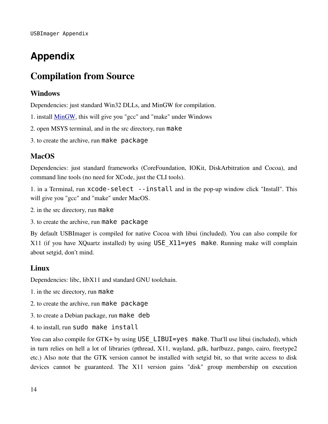# <span id="page-13-4"></span>**Appendix**

### <span id="page-13-3"></span>**Compilation from Source**

#### <span id="page-13-2"></span>**Windows**

Dependencies: just standard Win32 DLLs, and MinGW for compilation.

1. install [MinGW,](https://osdn.net/projects/mingw/releases) this will give you "gcc" and "make" under Windows

2. open MSYS terminal, and in the src directory, run make

3. to create the archive, run make package

#### <span id="page-13-1"></span>**MacOS**

Dependencies: just standard frameworks (CoreFoundation, IOKit, DiskArbitration and Cocoa), and command line tools (no need for XCode, just the CLI tools).

1. in a Terminal, run xcode-select --install and in the pop-up window click "Install". This will give you "gcc" and "make" under MacOS.

2. in the src directory, run make

3. to create the archive, run make package

By default USBImager is compiled for native Cocoa with libui (included). You can also compile for X11 (if you have XQuartz installed) by using USE\_X11=yes make. Running make will complain about setgid, don't mind.

#### <span id="page-13-0"></span>**Linux**

Dependencies: libc, libX11 and standard GNU toolchain.

1. in the src directory, run make

- 2. to create the archive, run make package
- 3. to create a Debian package, run make deb
- 4. to install, run sudo make install

You can also compile for GTK+ by using USE LIBUI=yes make. That'll use libui (included), which in turn relies on hell a lot of libraries (pthread, X11, wayland, gdk, harfbuzz, pango, cairo, freetype2 etc.) Also note that the GTK version cannot be installed with setgid bit, so that write access to disk devices cannot be guaranteed. The X11 version gains "disk" group membership on execution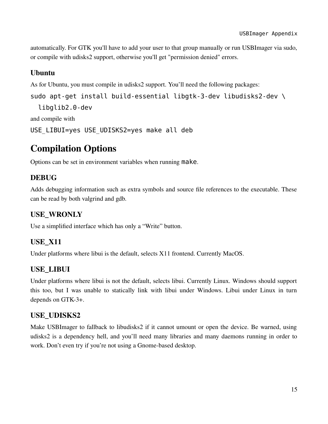automatically. For GTK you'll have to add your user to that group manually or run USBImager via sudo, or compile with udisks2 support, otherwise you'll get "permission denied" errors.

#### <span id="page-14-6"></span>**Ubuntu**

As for Ubuntu, you must compile in udisks2 support. You'll need the following packages:

```
sudo apt-get install build-essential libgtk-3-dev libudisks2-dev \
```
 libglib2.0-dev and compile with

USE\_LIBUI=yes USE\_UDISKS2=yes make all deb

# <span id="page-14-5"></span>**Compilation Options**

Options can be set in environment variables when running make.

#### <span id="page-14-4"></span>**DEBUG**

Adds debugging information such as extra symbols and source file references to the executable. These can be read by both valgrind and gdb.

#### <span id="page-14-3"></span>**USE\_WRONLY**

Use a simplified interface which has only a "Write" button.

#### <span id="page-14-2"></span>**USE\_X11**

Under platforms where libui is the default, selects X11 frontend. Currently MacOS.

#### <span id="page-14-1"></span>**USE\_LIBUI**

Under platforms where libui is not the default, selects libui. Currently Linux. Windows should support this too, but I was unable to statically link with libui under Windows. Libui under Linux in turn depends on GTK-3+.

#### <span id="page-14-0"></span>**USE\_UDISKS2**

Make USBImager to fallback to libudisks2 if it cannot umount or open the device. Be warned, using udisks2 is a dependency hell, and you'll need many libraries and many daemons running in order to work. Don't even try if you're not using a Gnome-based desktop.